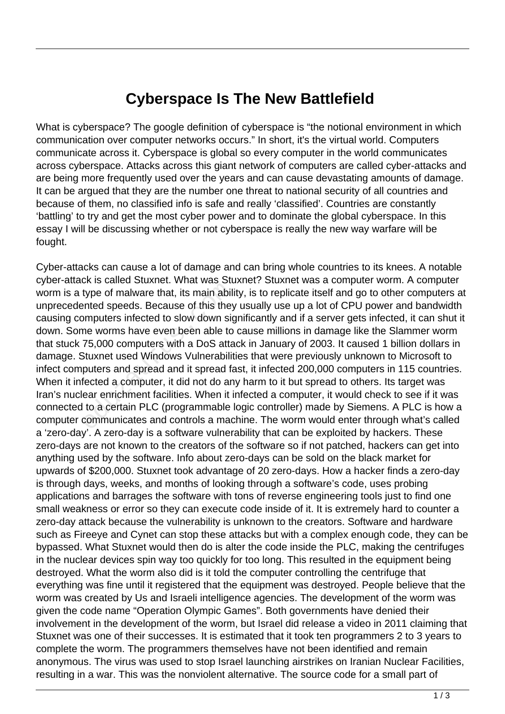## **Cyberspace Is The New Battlefield**

What is cyberspace? The google definition of cyberspace is "the notional environment in which communication over computer networks occurs." In short, it's the virtual world. Computers communicate across it. Cyberspace is global so every computer in the world communicates across cyberspace. Attacks across this giant network of computers are called cyber-attacks and are being more frequently used over the years and can cause devastating amounts of damage. It can be argued that they are the number one threat to national security of all countries and because of them, no classified info is safe and really 'classified'. Countries are constantly 'battling' to try and get the most cyber power and to dominate the global cyberspace. In this essay I will be discussing whether or not cyberspace is really the new way warfare will be fought.

Cyber-attacks can cause a lot of damage and can bring whole countries to its knees. A notable cyber-attack is called Stuxnet. What was Stuxnet? Stuxnet was a computer worm. A computer worm is a type of malware that, its main ability, is to replicate itself and go to other computers at unprecedented speeds. Because of this they usually use up a lot of CPU power and bandwidth causing computers infected to slow down significantly and if a server gets infected, it can shut it down. Some worms have even been able to cause millions in damage like the Slammer worm that stuck 75,000 computers with a DoS attack in January of 2003. It caused 1 billion dollars in damage. Stuxnet used Windows Vulnerabilities that were previously unknown to Microsoft to infect computers and spread and it spread fast, it infected 200,000 computers in 115 countries. When it infected a computer, it did not do any harm to it but spread to others. Its target was Iran's nuclear enrichment facilities. When it infected a computer, it would check to see if it was connected to a certain PLC (programmable logic controller) made by Siemens. A PLC is how a computer communicates and controls a machine. The worm would enter through what's called a 'zero-day'. A zero-day is a software vulnerability that can be exploited by hackers. These zero-days are not known to the creators of the software so if not patched, hackers can get into anything used by the software. Info about zero-days can be sold on the black market for upwards of \$200,000. Stuxnet took advantage of 20 zero-days. How a hacker finds a zero-day is through days, weeks, and months of looking through a software's code, uses probing applications and barrages the software with tons of reverse engineering tools just to find one small weakness or error so they can execute code inside of it. It is extremely hard to counter a zero-day attack because the vulnerability is unknown to the creators. Software and hardware such as Fireeye and Cynet can stop these attacks but with a complex enough code, they can be bypassed. What Stuxnet would then do is alter the code inside the PLC, making the centrifuges in the nuclear devices spin way too quickly for too long. This resulted in the equipment being destroyed. What the worm also did is it told the computer controlling the centrifuge that everything was fine until it registered that the equipment was destroyed. People believe that the worm was created by Us and Israeli intelligence agencies. The development of the worm was given the code name "Operation Olympic Games". Both governments have denied their involvement in the development of the worm, but Israel did release a video in 2011 claiming that Stuxnet was one of their successes. It is estimated that it took ten programmers 2 to 3 years to complete the worm. The programmers themselves have not been identified and remain anonymous. The virus was used to stop Israel launching airstrikes on Iranian Nuclear Facilities, resulting in a war. This was the nonviolent alternative. The source code for a small part of type of malware that, its main abiliented speeds. Because of this they imputers infected to slow down signe worms have even been able to 75,000 computers with a DoS atta stuxnet used Windows Vulnerability puters and spread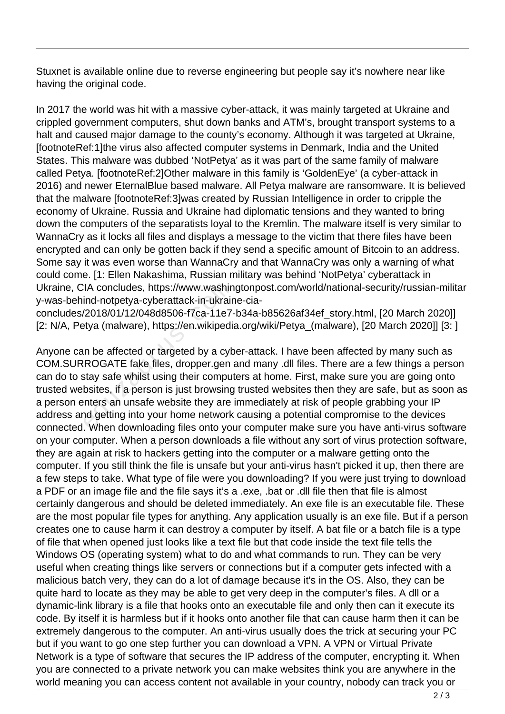Stuxnet is available online due to reverse engineering but people say it's nowhere near like having the original code.

In 2017 the world was hit with a massive cyber-attack, it was mainly targeted at Ukraine and crippled government computers, shut down banks and ATM's, brought transport systems to a halt and caused major damage to the county's economy. Although it was targeted at Ukraine, [footnoteRef:1]the virus also affected computer systems in Denmark, India and the United States. This malware was dubbed 'NotPetya' as it was part of the same family of malware called Petya. [footnoteRef:2]Other malware in this family is 'GoldenEye' (a cyber-attack in 2016) and newer EternalBlue based malware. All Petya malware are ransomware. It is believed that the malware [footnoteRef:3]was created by Russian Intelligence in order to cripple the economy of Ukraine. Russia and Ukraine had diplomatic tensions and they wanted to bring down the computers of the separatists loyal to the Kremlin. The malware itself is very similar to WannaCry as it locks all files and displays a message to the victim that there files have been encrypted and can only be gotten back if they send a specific amount of Bitcoin to an address. Some say it was even worse than WannaCry and that WannaCry was only a warning of what could come. [1: Ellen Nakashima, Russian military was behind 'NotPetya' cyberattack in Ukraine, CIA concludes, https://www.washingtonpost.com/world/national-security/russian-militar y-was-behind-notpetya-cyberattack-in-ukraine-cia-

concludes/2018/01/12/048d8506-f7ca-11e7-b34a-b85626af34ef\_story.html, [20 March 2020]] [2: N/A, Petya (malware), https://en.wikipedia.org/wiki/Petya\_(malware), [20 March 2020]] [3: ]

Anyone can be affected or targeted by a cyber-attack. I have been affected by many such as COM.SURROGATE fake files, dropper.gen and many .dll files. There are a few things a person can do to stay safe whilst using their computers at home. First, make sure you are going onto trusted websites, if a person is just browsing trusted websites then they are safe, but as soon as a person enters an unsafe website they are immediately at risk of people grabbing your IP address and getting into your home network causing a potential compromise to the devices connected. When downloading files onto your computer make sure you have anti-virus software on your computer. When a person downloads a file without any sort of virus protection software, they are again at risk to hackers getting into the computer or a malware getting onto the computer. If you still think the file is unsafe but your anti-virus hasn't picked it up, then there are a few steps to take. What type of file were you downloading? If you were just trying to download a PDF or an image file and the file says it's a .exe, .bat or .dll file then that file is almost certainly dangerous and should be deleted immediately. An exe file is an executable file. These are the most popular file types for anything. Any application usually is an exe file. But if a person creates one to cause harm it can destroy a computer by itself. A bat file or a batch file is a type of file that when opened just looks like a text file but that code inside the text file tells the Windows OS (operating system) what to do and what commands to run. They can be very useful when creating things like servers or connections but if a computer gets infected with a malicious batch very, they can do a lot of damage because it's in the OS. Also, they can be quite hard to locate as they may be able to get very deep in the computer's files. A dll or a dynamic-link library is a file that hooks onto an executable file and only then can it execute its code. By itself it is harmless but if it hooks onto another file that can cause harm then it can be extremely dangerous to the computer. An anti-virus usually does the trick at securing your PC but if you want to go one step further you can download a VPN. A VPN or Virtual Private Network is a type of software that secures the IP address of the computer, encrypting it. When you are connected to a private network you can make websites think you are anywhere in the world meaning you can access content not available in your country, nobody can track you or IA concludes, https://www.washin<br>ind-notpetya-cyberattack-in-ukrair<br>/2018/01/12/048d8506-f7ca-11e7-<br>ttya (malware), https://en.wikipedia<br>in be affected or targeted by a cyb<br>ROGATE fake files, dropper.gen<br>stay safe whilst u